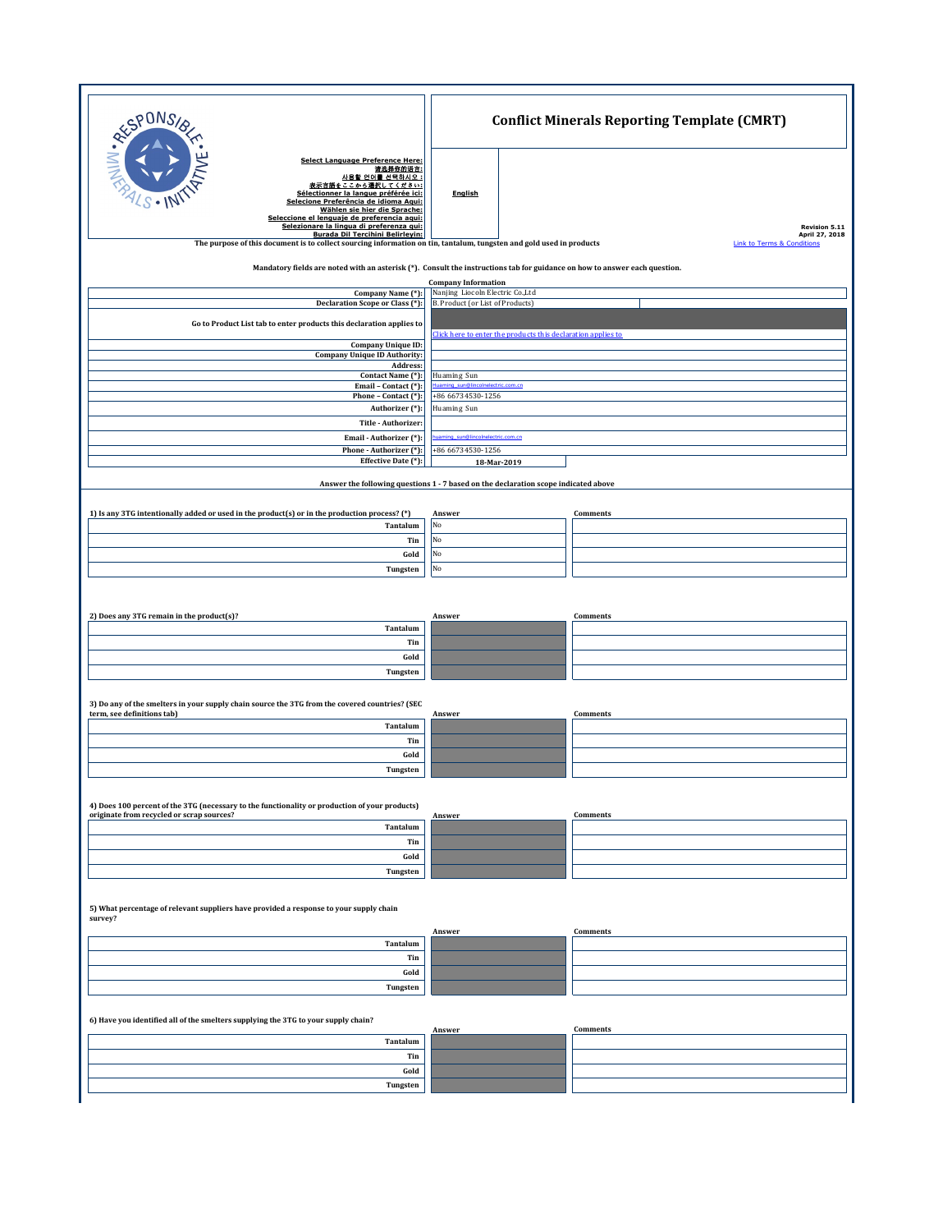| RESPONS                                                                                                                                                                                                                                                                                                  | <b>Conflict Minerals Reporting Template (CMRT)</b>                                                  |                                                         |
|----------------------------------------------------------------------------------------------------------------------------------------------------------------------------------------------------------------------------------------------------------------------------------------------------------|-----------------------------------------------------------------------------------------------------|---------------------------------------------------------|
| <b>Select Language Preference Here:</b><br>请选择你的语言:<br>사용할 언어를 선택하시오 :<br>表示言語をここから選択してください:<br>Sélectionner la langue préférée ici:<br>Selecione Preferência de idioma Agui:<br>Wählen sie hier die Sprache:<br>Seleccione el lenguaie de preferencia agui:<br>Selezionare la lingua di preferenza qui: | <b>English</b>                                                                                      | Revision 5.11                                           |
| <b>Burada Dil Tercihini Belirleyin:</b><br>The purpose of this document is to collect sourcing information on tin, tantalum, tungsten and gold used in products                                                                                                                                          |                                                                                                     | April 27, 2018<br><b>Link to Terms &amp; Conditions</b> |
| Mandatory fields are noted with an asterisk (*). Consult the instructions tab for guidance on how to answer each question.                                                                                                                                                                               |                                                                                                     |                                                         |
| Company Name (*):<br>Declaration Scope or Class (*):                                                                                                                                                                                                                                                     | <b>Company Information</b><br>Nanjing Liocoln Electric Co., Ltd<br>B. Product (or List of Products) |                                                         |
| Go to Product List tab to enter products this declaration applies to                                                                                                                                                                                                                                     |                                                                                                     |                                                         |
| <b>Company Unique ID:</b><br><b>Company Unique ID Authority:</b>                                                                                                                                                                                                                                         | Click here to enter the products this declaration applies to                                        |                                                         |
| Address:<br>Contact Name (*):                                                                                                                                                                                                                                                                            |                                                                                                     |                                                         |
| Email - Contact (*):                                                                                                                                                                                                                                                                                     | Huaming Sun<br>uaming_sun@lince<br>lectric.com.cn                                                   |                                                         |
| Phone - Contact (*):<br>Authorizer (*):                                                                                                                                                                                                                                                                  | +86 66734530-1256<br>Huaming Sun                                                                    |                                                         |
| Title - Authorizer:                                                                                                                                                                                                                                                                                      |                                                                                                     |                                                         |
| Email - Authorizer (*):<br>Phone - Authorizer (*):                                                                                                                                                                                                                                                       | uaming_sun@lincolnelectric.com.cn<br>+86 66734530-1256                                              |                                                         |
| Effective Date (*):                                                                                                                                                                                                                                                                                      | 18-Mar-2019                                                                                         |                                                         |
|                                                                                                                                                                                                                                                                                                          | Answer the following questions 1 - 7 based on the declaration scope indicated above                 |                                                         |
| 1) Is any 3TG intentionally added or used in the product(s) or in the production process? (*)                                                                                                                                                                                                            | Answer                                                                                              | Comments                                                |
| Tantalum                                                                                                                                                                                                                                                                                                 | No                                                                                                  |                                                         |
| Tin<br>Gold                                                                                                                                                                                                                                                                                              | No<br>No                                                                                            |                                                         |
| Tungsten                                                                                                                                                                                                                                                                                                 | No                                                                                                  |                                                         |
|                                                                                                                                                                                                                                                                                                          |                                                                                                     |                                                         |
| 2) Does any 3TG remain in the product(s)?                                                                                                                                                                                                                                                                |                                                                                                     | Comments                                                |
| Tantalum                                                                                                                                                                                                                                                                                                 | Answer                                                                                              |                                                         |
| Tin                                                                                                                                                                                                                                                                                                      |                                                                                                     |                                                         |
| Gold<br>Tungsten                                                                                                                                                                                                                                                                                         |                                                                                                     |                                                         |
| 3) Do any of the smelters in your supply chain source the 3TG from the covered countries? (SEC                                                                                                                                                                                                           |                                                                                                     |                                                         |
| term, see definitions tab)<br>Tantalum                                                                                                                                                                                                                                                                   | Answer                                                                                              | Comments                                                |
| Tin                                                                                                                                                                                                                                                                                                      |                                                                                                     |                                                         |
| Gold                                                                                                                                                                                                                                                                                                     |                                                                                                     |                                                         |
| Tungsten                                                                                                                                                                                                                                                                                                 |                                                                                                     |                                                         |
| 4) Does 100 percent of the 3TG (necessary to the functionality or production of your products)                                                                                                                                                                                                           |                                                                                                     |                                                         |
| originate from recycled or scrap sources?<br>Tantalum                                                                                                                                                                                                                                                    | Answer                                                                                              | Comments                                                |
| Tin                                                                                                                                                                                                                                                                                                      |                                                                                                     |                                                         |
| Gold                                                                                                                                                                                                                                                                                                     |                                                                                                     |                                                         |
| Tungsten                                                                                                                                                                                                                                                                                                 |                                                                                                     |                                                         |
| 5) What percentage of relevant suppliers have provided a response to your supply chain<br>survey?                                                                                                                                                                                                        |                                                                                                     |                                                         |
|                                                                                                                                                                                                                                                                                                          | Answer                                                                                              | <b>Comments</b>                                         |
| Tantalum<br>Tin                                                                                                                                                                                                                                                                                          |                                                                                                     |                                                         |
| Gold                                                                                                                                                                                                                                                                                                     |                                                                                                     |                                                         |
| Tungsten                                                                                                                                                                                                                                                                                                 |                                                                                                     |                                                         |
| 6) Have you identified all of the smelters supplying the 3TG to your supply chain?<br>Comments<br>Answer                                                                                                                                                                                                 |                                                                                                     |                                                         |
| Tantalum                                                                                                                                                                                                                                                                                                 |                                                                                                     |                                                         |
| Tin<br>Gold                                                                                                                                                                                                                                                                                              |                                                                                                     |                                                         |
| Tungsten                                                                                                                                                                                                                                                                                                 |                                                                                                     |                                                         |
|                                                                                                                                                                                                                                                                                                          |                                                                                                     |                                                         |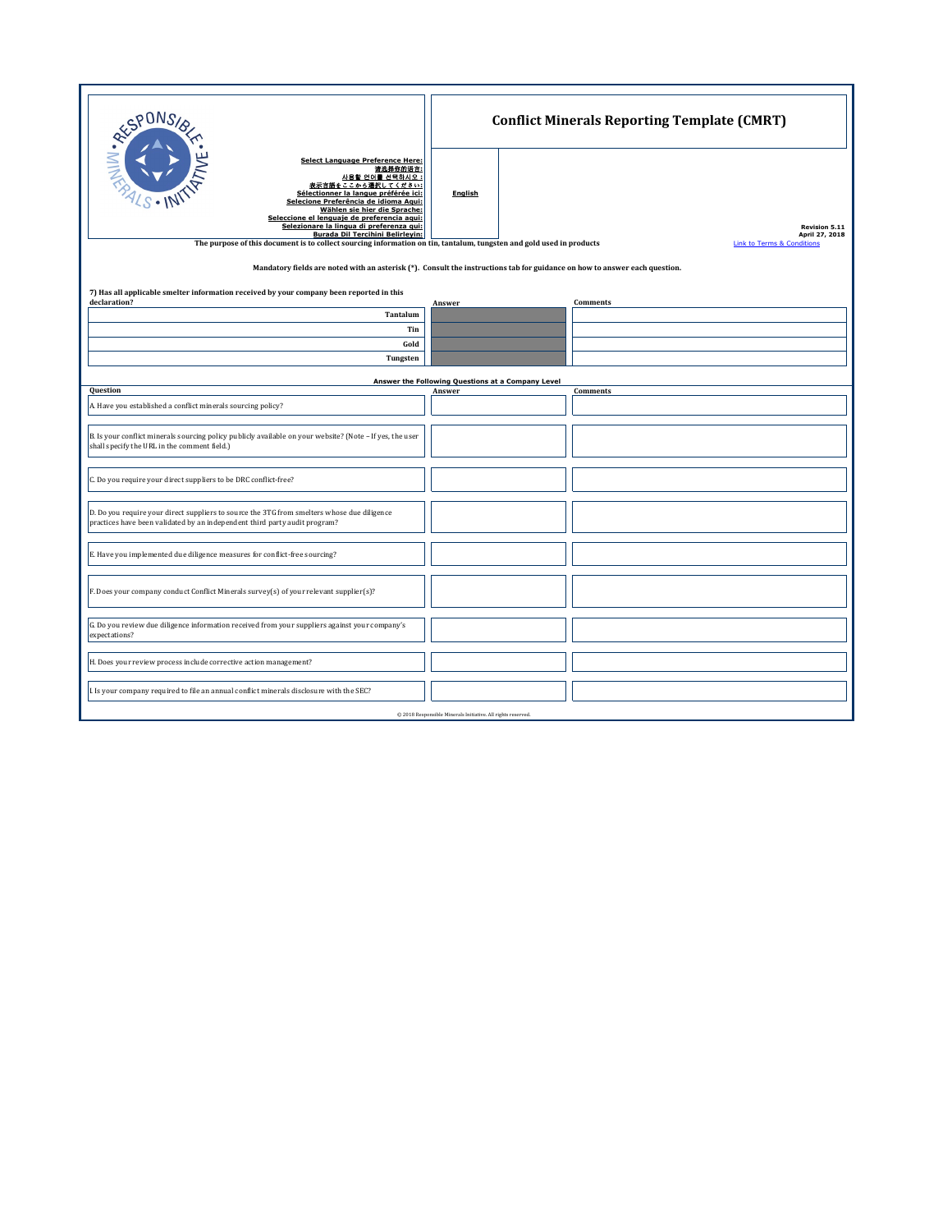| <b>RESPONS</b><br><b>Select Language Preference Here:</b><br>请选择你的语言:<br>사용할 언어를 선택하시오 :<br>表示言語をここから選択してください:<br>Sélectionner la langue préférée ici:<br>Selecione Preferência de idioma Agui:<br>Wählen sie hier die Sprache:<br>Seleccione el lenguaie de preferencia agui:<br>Selezionare la lingua di preferenza gui:<br><b>Burada Dil Tercihini Belirleyin:</b><br>The purpose of this document is to collect sourcing information on tin, tantalum, tungsten and gold used in products<br>Mandatory fields are noted with an asterisk (*). Consult the instructions tab for guidance on how to answer each question. | <b>English</b>                                    | <b>Conflict Minerals Reporting Template (CMRT)</b><br><b>Revision 5.11</b><br>April 27, 2018<br><b>Link to Terms &amp; Conditions</b> |  |
|-----------------------------------------------------------------------------------------------------------------------------------------------------------------------------------------------------------------------------------------------------------------------------------------------------------------------------------------------------------------------------------------------------------------------------------------------------------------------------------------------------------------------------------------------------------------------------------------------------------------------------|---------------------------------------------------|---------------------------------------------------------------------------------------------------------------------------------------|--|
| 7) Has all applicable smelter information received by your company been reported in this<br>declaration?                                                                                                                                                                                                                                                                                                                                                                                                                                                                                                                    |                                                   |                                                                                                                                       |  |
| Tantalum                                                                                                                                                                                                                                                                                                                                                                                                                                                                                                                                                                                                                    | Answer                                            | <b>Comments</b>                                                                                                                       |  |
| Tin                                                                                                                                                                                                                                                                                                                                                                                                                                                                                                                                                                                                                         |                                                   |                                                                                                                                       |  |
| Gold                                                                                                                                                                                                                                                                                                                                                                                                                                                                                                                                                                                                                        |                                                   |                                                                                                                                       |  |
| Tungsten                                                                                                                                                                                                                                                                                                                                                                                                                                                                                                                                                                                                                    |                                                   |                                                                                                                                       |  |
|                                                                                                                                                                                                                                                                                                                                                                                                                                                                                                                                                                                                                             | Answer the Following Questions at a Company Level |                                                                                                                                       |  |
| Question                                                                                                                                                                                                                                                                                                                                                                                                                                                                                                                                                                                                                    | Answer                                            | Comments                                                                                                                              |  |
| A. Have you established a conflict minerals sourcing policy?                                                                                                                                                                                                                                                                                                                                                                                                                                                                                                                                                                |                                                   |                                                                                                                                       |  |
| B. Is your conflict minerals sourcing policy publicly available on your website? (Note - If yes, the user<br>shall specify the URL in the comment field.)                                                                                                                                                                                                                                                                                                                                                                                                                                                                   |                                                   |                                                                                                                                       |  |
| C. Do you require your direct suppliers to be DRC conflict-free?                                                                                                                                                                                                                                                                                                                                                                                                                                                                                                                                                            |                                                   |                                                                                                                                       |  |
| D. Do you require your direct suppliers to source the 3TG from smelters whose due diligence<br>practices have been validated by an independent third party audit program?                                                                                                                                                                                                                                                                                                                                                                                                                                                   |                                                   |                                                                                                                                       |  |
| E. Have you implemented due diligence measures for conflict-free sourcing?                                                                                                                                                                                                                                                                                                                                                                                                                                                                                                                                                  |                                                   |                                                                                                                                       |  |
| F. Does your company conduct Conflict Minerals survey(s) of your relevant supplier(s)?                                                                                                                                                                                                                                                                                                                                                                                                                                                                                                                                      |                                                   |                                                                                                                                       |  |
| G. Do you review due diligence information received from your suppliers against your company's<br>expectations?                                                                                                                                                                                                                                                                                                                                                                                                                                                                                                             |                                                   |                                                                                                                                       |  |
| H. Does your review process include corrective action management?                                                                                                                                                                                                                                                                                                                                                                                                                                                                                                                                                           |                                                   |                                                                                                                                       |  |
| I. Is your company required to file an annual conflict minerals disclosure with the SEC?                                                                                                                                                                                                                                                                                                                                                                                                                                                                                                                                    |                                                   |                                                                                                                                       |  |
| @ 2018 Responsible Minerals Initiative. All rights reserved.                                                                                                                                                                                                                                                                                                                                                                                                                                                                                                                                                                |                                                   |                                                                                                                                       |  |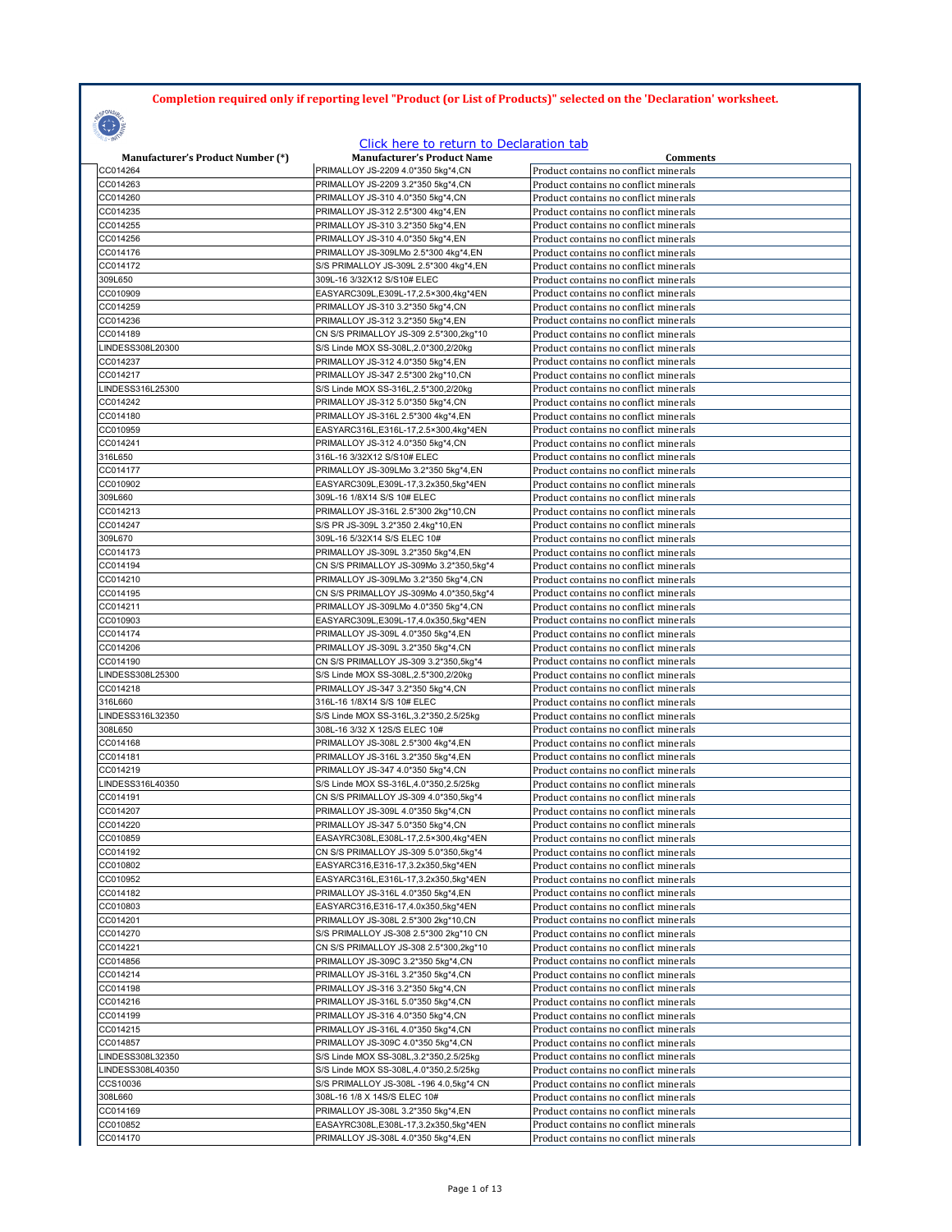## **Completion required only if reporting level "Product (or List of Products)" selected on the 'Declaration' worksheet.**

## **CONSTRUCTION**

## Click here to return to Declaration tab

| <b>Manufacturer's Product Number (*)</b> | <b>Manufacturer's Product Name</b>       | <b>Comments</b>                       |
|------------------------------------------|------------------------------------------|---------------------------------------|
| CC014264                                 | PRIMALLOY JS-2209 4.0*350 5kg*4,CN       | Product contains no conflict minerals |
| CC014263                                 | PRIMALLOY JS-2209 3.2*350 5kg*4,CN       | Product contains no conflict minerals |
| CC014260                                 | PRIMALLOY JS-310 4.0*350 5kg*4,CN        | Product contains no conflict minerals |
| CC014235                                 | PRIMALLOY JS-312 2.5*300 4kg*4,EN        | Product contains no conflict minerals |
| CC014255                                 | PRIMALLOY JS-310 3.2*350 5kg*4,EN        | Product contains no conflict minerals |
| CC014256                                 | PRIMALLOY JS-310 4.0*350 5kg*4,EN        | Product contains no conflict minerals |
| CC014176                                 | PRIMALLOY JS-309LMo 2.5*300 4kg*4,EN     | Product contains no conflict minerals |
| CC014172                                 | S/S PRIMALLOY JS-309L 2.5*300 4kg*4,EN   | Product contains no conflict minerals |
| 309L650                                  | 309L-16 3/32X12 S/S10# ELEC              | Product contains no conflict minerals |
| CC010909                                 | EASYARC309L,E309L-17,2.5×300,4kg*4EN     | Product contains no conflict minerals |
| CC014259                                 | PRIMALLOY JS-310 3.2*350 5kg*4,CN        | Product contains no conflict minerals |
|                                          | PRIMALLOY JS-312 3.2*350 5kg*4,EN        |                                       |
| CC014236                                 |                                          | Product contains no conflict minerals |
| CC014189                                 | CN S/S PRIMALLOY JS-309 2.5*300,2kg*10   | Product contains no conflict minerals |
| LINDESS308L20300                         | S/S Linde MOX SS-308L, 2.0*300, 2/20kg   | Product contains no conflict minerals |
| CC014237                                 | PRIMALLOY JS-312 4.0*350 5kg*4,EN        | Product contains no conflict minerals |
| CC014217                                 | PRIMALLOY JS-347 2.5*300 2kg*10,CN       | Product contains no conflict minerals |
| LINDESS316L25300                         | S/S Linde MOX SS-316L, 2.5*300, 2/20kg   | Product contains no conflict minerals |
| CC014242                                 | PRIMALLOY JS-312 5.0*350 5kg*4,CN        | Product contains no conflict minerals |
| CC014180                                 | PRIMALLOY JS-316L 2.5*300 4kg*4,EN       | Product contains no conflict minerals |
| CC010959                                 | EASYARC316L,E316L-17,2.5×300,4kg*4EN     | Product contains no conflict minerals |
| CC014241                                 | PRIMALLOY JS-312 4.0*350 5kg*4,CN        | Product contains no conflict minerals |
| 316L650                                  | 316L-16 3/32X12 S/S10# ELEC              | Product contains no conflict minerals |
| CC014177                                 | PRIMALLOY JS-309LMo 3.2*350 5kg*4,EN     | Product contains no conflict minerals |
|                                          |                                          |                                       |
| CC010902                                 | EASYARC309L,E309L-17,3.2x350,5kg*4EN     | Product contains no conflict minerals |
| 309L660                                  | 309L-16 1/8X14 S/S 10# ELEC              | Product contains no conflict minerals |
| CC014213                                 | PRIMALLOY JS-316L 2.5*300 2kg*10,CN      | Product contains no conflict minerals |
| CC014247                                 | S/S PR JS-309L 3.2*350 2.4kg*10,EN       | Product contains no conflict minerals |
| 309L670                                  | 309L-16 5/32X14 S/S ELEC 10#             | Product contains no conflict minerals |
| CC014173                                 | PRIMALLOY JS-309L 3.2*350 5kg*4,EN       | Product contains no conflict minerals |
| CC014194                                 | CN S/S PRIMALLOY JS-309Mo 3.2*350,5kg*4  | Product contains no conflict minerals |
| CC014210                                 | PRIMALLOY JS-309LMo 3.2*350 5kg*4,CN     | Product contains no conflict minerals |
| CC014195                                 | CN S/S PRIMALLOY JS-309Mo 4.0*350,5kg*4  | Product contains no conflict minerals |
| CC014211                                 | PRIMALLOY JS-309LMo 4.0*350 5kg*4,CN     | Product contains no conflict minerals |
| CC010903                                 | EASYARC309L,E309L-17,4.0x350,5kg*4EN     | Product contains no conflict minerals |
| CC014174                                 | PRIMALLOY JS-309L 4.0*350 5kg*4,EN       | Product contains no conflict minerals |
| CC014206                                 |                                          | Product contains no conflict minerals |
|                                          | PRIMALLOY JS-309L 3.2*350 5kg*4,CN       |                                       |
| CC014190                                 | CN S/S PRIMALLOY JS-309 3.2*350,5kg*4    | Product contains no conflict minerals |
| LINDESS308L25300                         | S/S Linde MOX SS-308L, 2.5*300, 2/20kg   | Product contains no conflict minerals |
| CC014218                                 | PRIMALLOY JS-347 3.2*350 5kg*4,CN        | Product contains no conflict minerals |
| 316L660                                  | 316L-16 1/8X14 S/S 10# ELEC              | Product contains no conflict minerals |
| LINDESS316L32350                         | S/S Linde MOX SS-316L, 3.2*350, 2.5/25kg | Product contains no conflict minerals |
| 308L650                                  | 308L-16 3/32 X 12S/S ELEC 10#            | Product contains no conflict minerals |
| CC014168                                 | PRIMALLOY JS-308L 2.5*300 4kg*4,EN       | Product contains no conflict minerals |
| CC014181                                 | PRIMALLOY JS-316L 3.2*350 5kg*4,EN       | Product contains no conflict minerals |
| CC014219                                 | PRIMALLOY JS-347 4.0*350 5kg*4,CN        | Product contains no conflict minerals |
| LINDESS316L40350                         | S/S Linde MOX SS-316L, 4.0*350, 2.5/25kg | Product contains no conflict minerals |
| CC014191                                 | CN S/S PRIMALLOY JS-309 4.0*350,5kg*4    | Product contains no conflict minerals |
| CC014207                                 | PRIMALLOY JS-309L 4.0*350 5kg*4,CN       | Product contains no conflict minerals |
| CC014220                                 |                                          | Product contains no conflict minerals |
|                                          | PRIMALLOY JS-347 5.0*350 5kg*4,CN        |                                       |
| CC010859                                 | EASAYRC308L,E308L-17,2.5×300,4kg*4EN     | Product contains no conflict minerals |
| CC014192                                 | CN S/S PRIMALLOY JS-309 5.0*350,5kg*4    | Product contains no conflict minerals |
| CC010802                                 | EASYARC316,E316-17,3.2x350,5kg*4EN       | Product contains no conflict minerals |
| CC010952                                 | EASYARC316L,E316L-17,3.2x350,5kg*4EN     | Product contains no conflict minerals |
| CC014182                                 | PRIMALLOY JS-316L 4.0*350 5kg*4,EN       | Product contains no conflict minerals |
| CC010803                                 | EASYARC316,E316-17,4.0x350,5kg*4EN       | Product contains no conflict minerals |
| CC014201                                 | PRIMALLOY JS-308L 2.5*300 2kg*10,CN      | Product contains no conflict minerals |
| CC014270                                 | S/S PRIMALLOY JS-308 2.5*300 2kg*10 CN   | Product contains no conflict minerals |
| CC014221                                 | CN S/S PRIMALLOY JS-308 2.5*300,2kg*10   | Product contains no conflict minerals |
| CC014856                                 | PRIMALLOY JS-309C 3.2*350 5kg*4,CN       | Product contains no conflict minerals |
| CC014214                                 | PRIMALLOY JS-316L 3.2*350 5kg*4,CN       | Product contains no conflict minerals |
| CC014198                                 |                                          |                                       |
|                                          | PRIMALLOY JS-316 3.2*350 5kg*4,CN        | Product contains no conflict minerals |
| CC014216                                 | PRIMALLOY JS-316L 5.0*350 5kg*4,CN       | Product contains no conflict minerals |
| CC014199                                 | PRIMALLOY JS-316 4.0*350 5kg*4,CN        | Product contains no conflict minerals |
| CC014215                                 | PRIMALLOY JS-316L 4.0*350 5kg*4,CN       | Product contains no conflict minerals |
| CC014857                                 | PRIMALLOY JS-309C 4.0*350 5kg*4,CN       | Product contains no conflict minerals |
| LINDESS308L32350                         | S/S Linde MOX SS-308L, 3.2*350, 2.5/25kg | Product contains no conflict minerals |
| LINDESS308L40350                         | S/S Linde MOX SS-308L, 4.0*350, 2.5/25kg | Product contains no conflict minerals |
| CCS10036                                 | S/S PRIMALLOY JS-308L -196 4.0,5kg*4 CN  | Product contains no conflict minerals |
| 308L660                                  | 308L-16 1/8 X 14S/S ELEC 10#             | Product contains no conflict minerals |
| CC014169                                 | PRIMALLOY JS-308L 3.2*350 5kg*4,EN       | Product contains no conflict minerals |
| CC010852                                 | EASAYRC308L,E308L-17,3.2x350,5kg*4EN     | Product contains no conflict minerals |
| CC014170                                 | PRIMALLOY JS-308L 4.0*350 5kg*4,EN       | Product contains no conflict minerals |
|                                          |                                          |                                       |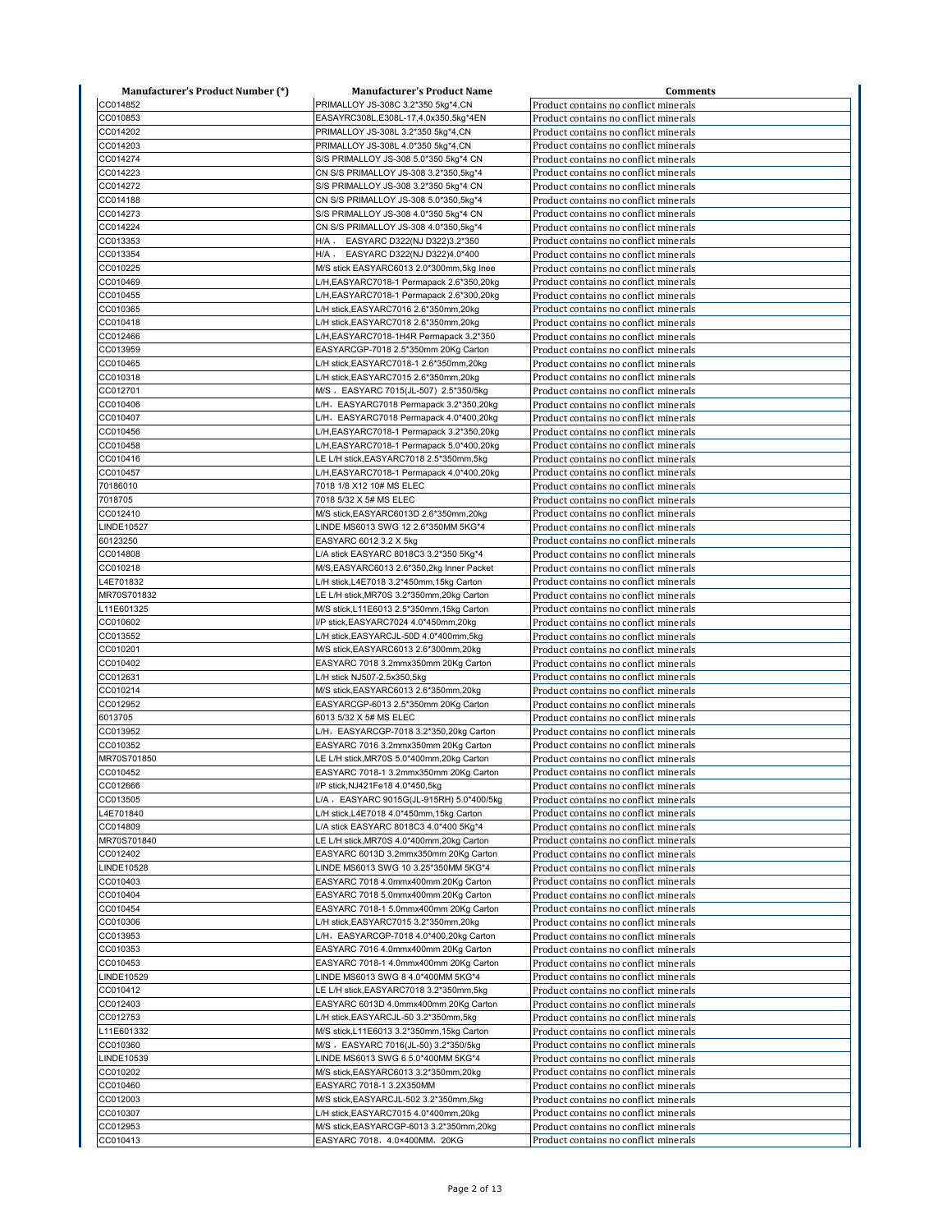| <b>Manufacturer's Product Number (*)</b> | <b>Manufacturer's Product Name</b>         | <b>Comments</b>                       |
|------------------------------------------|--------------------------------------------|---------------------------------------|
| CC014852                                 | PRIMALLOY JS-308C 3.2*350 5kg*4,CN         | Product contains no conflict minerals |
| CC010853                                 | EASAYRC308L,E308L-17,4.0x350,5kg*4EN       | Product contains no conflict minerals |
| CC014202                                 | PRIMALLOY JS-308L 3.2*350 5kg*4,CN         | Product contains no conflict minerals |
| CC014203                                 | PRIMALLOY JS-308L 4.0*350 5kg*4,CN         | Product contains no conflict minerals |
| CC014274                                 | S/S PRIMALLOY JS-308 5.0*350 5kg*4 CN      | Product contains no conflict minerals |
| CC014223                                 | CN S/S PRIMALLOY JS-308 3.2*350,5kg*4      | Product contains no conflict minerals |
| CC014272                                 | S/S PRIMALLOY JS-308 3.2*350 5kg*4 CN      | Product contains no conflict minerals |
| CC014188                                 | CN S/S PRIMALLOY JS-308 5.0*350,5kg*4      | Product contains no conflict minerals |
| CC014273                                 | S/S PRIMALLOY JS-308 4.0*350 5kg*4 CN      | Product contains no conflict minerals |
| CC014224                                 | CN S/S PRIMALLOY JS-308 4.0*350,5kg*4      | Product contains no conflict minerals |
| CC013353                                 | H/A, EASYARC D322(NJ D322)3.2*350          | Product contains no conflict minerals |
| CC013354                                 | H/A, EASYARC D322(NJ D322)4.0*400          | Product contains no conflict minerals |
| CC010225                                 | M/S stick EASYARC6013 2.0*300mm,5kg Inee   | Product contains no conflict minerals |
| CC010469                                 | L/H,EASYARC7018-1 Permapack 2.6*350,20kg   | Product contains no conflict minerals |
| CC010455                                 | L/H,EASYARC7018-1 Permapack 2.6*300,20kg   | Product contains no conflict minerals |
| CC010365                                 | L/H stick, EASYARC7016 2.6*350mm, 20kg     | Product contains no conflict minerals |
| CC010418                                 | L/H stick, EASYARC7018 2.6*350mm, 20kg     | Product contains no conflict minerals |
| CC012466                                 | L/H, EASYARC7018-1H4R Permapack 3.2*350    | Product contains no conflict minerals |
| CC013959                                 | EASYARCGP-7018 2.5*350mm 20Kg Carton       | Product contains no conflict minerals |
| CC010465                                 | L/H stick, EASYARC7018-1 2.6*350mm, 20kg   | Product contains no conflict minerals |
| CC010318                                 | L/H stick, EASYARC7015 2.6*350mm, 20kg     | Product contains no conflict minerals |
| CC012701                                 | M/S , EASYARC 7015(JL-507) 2.5*350/5kg     | Product contains no conflict minerals |
| CC010406                                 | L/H, EASYARC7018 Permapack 3.2*350,20kg    | Product contains no conflict minerals |
| CC010407                                 | L/H, EASYARC7018 Permapack 4.0*400,20kg    | Product contains no conflict minerals |
| CC010456                                 | L/H,EASYARC7018-1 Permapack 3.2*350,20kg   | Product contains no conflict minerals |
| CC010458                                 | L/H,EASYARC7018-1 Permapack 5.0*400,20kg   | Product contains no conflict minerals |
| CC010416                                 | LE L/H stick, EASYARC7018 2.5*350mm, 5kg   | Product contains no conflict minerals |
| CC010457                                 | L/H,EASYARC7018-1 Permapack 4.0*400,20kg   | Product contains no conflict minerals |
| 70186010                                 | 7018 1/8 X12 10# MS ELEC                   | Product contains no conflict minerals |
| 7018705                                  | 7018 5/32 X 5# MS ELEC                     | Product contains no conflict minerals |
| CC012410                                 | M/S stick, EASYARC6013D 2.6*350mm, 20kg    | Product contains no conflict minerals |
| LINDE10527                               | LINDE MS6013 SWG 12 2.6*350MM 5KG*4        | Product contains no conflict minerals |
| 60123250                                 | EASYARC 6012 3.2 X 5kg                     | Product contains no conflict minerals |
| CC014808                                 | L/A stick EASYARC 8018C3 3.2*350 5Kg*4     | Product contains no conflict minerals |
| CC010218                                 | M/S, EASYARC6013 2.6*350, 2kg Inner Packet | Product contains no conflict minerals |
| L4E701832                                | L/H stick, L4E7018 3.2*450mm, 15kg Carton  | Product contains no conflict minerals |
| MR70S701832                              | LE L/H stick, MR70S 3.2*350mm, 20kg Carton | Product contains no conflict minerals |
| L11E601325                               | M/S stick, L11E6013 2.5*350mm, 15kg Carton | Product contains no conflict minerals |
| CC010602                                 | I/P stick, EASYARC7024 4.0*450mm, 20kg     | Product contains no conflict minerals |
| CC013552                                 | L/H stick, EASYARCJL-50D 4.0*400mm, 5kg    | Product contains no conflict minerals |
| CC010201                                 | M/S stick, EASYARC6013 2.6*300mm, 20kg     | Product contains no conflict minerals |
| CC010402                                 | EASYARC 7018 3.2mmx350mm 20Kg Carton       | Product contains no conflict minerals |
| CC012631                                 | L/H stick NJ507-2.5x350,5kg                | Product contains no conflict minerals |
| CC010214                                 | M/S stick, EASYARC6013 2.6*350mm, 20kg     | Product contains no conflict minerals |
| CC012952                                 | EASYARCGP-6013 2.5*350mm 20Kg Carton       | Product contains no conflict minerals |
| 6013705                                  | 6013 5/32 X 5# MS ELEC                     | Product contains no conflict minerals |
| CC013952                                 | L/H, EASYARCGP-7018 3.2*350,20kg Carton    | Product contains no conflict minerals |
| CC010352                                 | EASYARC 7016 3.2mmx350mm 20Kg Carton       | Product contains no conflict minerals |
| MR70S701850                              | LE L/H stick, MR70S 5.0*400mm, 20kg Carton | Product contains no conflict minerals |
| CC010452                                 | EASYARC 7018-1 3.2mmx350mm 20Kg Carton     | Product contains no conflict minerals |
| CC012666                                 | I/P stick, NJ421Fe18 4.0*450, 5kg          | Product contains no conflict minerals |
| CC013505                                 | L/A , EASYARC 9015G(JL-915RH) 5.0*400/5kg  | Product contains no conflict minerals |
| L4E701840                                | L/H stick,L4E7018 4.0*450mm,15kg Carton    | Product contains no conflict minerals |
| CC014809                                 | L/A stick EASYARC 8018C3 4.0*400 5Kg*4     | Product contains no conflict minerals |
| MR70S701840                              | LE L/H stick, MR70S 4.0*400mm, 20kg Carton | Product contains no conflict minerals |
| CC012402                                 | EASYARC 6013D 3.2mmx350mm 20Kg Carton      | Product contains no conflict minerals |
| LINDE10528                               | LINDE MS6013 SWG 10 3.25*350MM 5KG*4       | Product contains no conflict minerals |
| CC010403                                 | EASYARC 7018 4.0mmx400mm 20Kg Carton       | Product contains no conflict minerals |
| CC010404                                 | EASYARC 7018 5.0mmx400mm 20Kg Carton       | Product contains no conflict minerals |
| CC010454                                 | EASYARC 7018-1 5.0mmx400mm 20Kg Carton     | Product contains no conflict minerals |
| CC010306                                 | L/H stick, EASYARC7015 3.2*350mm, 20kg     | Product contains no conflict minerals |
| CC013953                                 | L/H, EASYARCGP-7018 4.0*400,20kg Carton    | Product contains no conflict minerals |
| CC010353                                 | EASYARC 7016 4.0mmx400mm 20Kg Carton       | Product contains no conflict minerals |
| CC010453                                 | EASYARC 7018-1 4.0mmx400mm 20Kg Carton     | Product contains no conflict minerals |
| LINDE10529                               | LINDE MS6013 SWG 8 4.0*400MM 5KG*4         | Product contains no conflict minerals |
| CC010412                                 | LE L/H stick, EASYARC7018 3.2*350mm, 5kg   | Product contains no conflict minerals |
| CC012403                                 | EASYARC 6013D 4.0mmx400mm 20Kg Carton      | Product contains no conflict minerals |
| CC012753                                 | L/H stick, EASYARCJL-50 3.2*350mm, 5kg     | Product contains no conflict minerals |
| L11E601332                               | M/S stick, L11E6013 3.2*350mm, 15kg Carton | Product contains no conflict minerals |
| CC010360                                 | M/S , EASYARC 7016(JL-50) 3.2*350/5kg      | Product contains no conflict minerals |
| LINDE10539                               | LINDE MS6013 SWG 6 5.0*400MM 5KG*4         | Product contains no conflict minerals |
| CC010202                                 | M/S stick, EASYARC6013 3.2*350mm, 20kg     | Product contains no conflict minerals |
| CC010460                                 | EASYARC 7018-1 3.2X350MM                   | Product contains no conflict minerals |
| CC012003                                 | M/S stick, EASYARCJL-502 3.2*350mm, 5kg    | Product contains no conflict minerals |
| CC010307                                 | L/H stick, EASYARC7015 4.0*400mm, 20kg     | Product contains no conflict minerals |
| CC012953                                 | M/S stick, EASYARCGP-6013 3.2*350mm, 20kg  | Product contains no conflict minerals |
| CC010413                                 | EASYARC 7018, 4.0×400MM, 20KG              | Product contains no conflict minerals |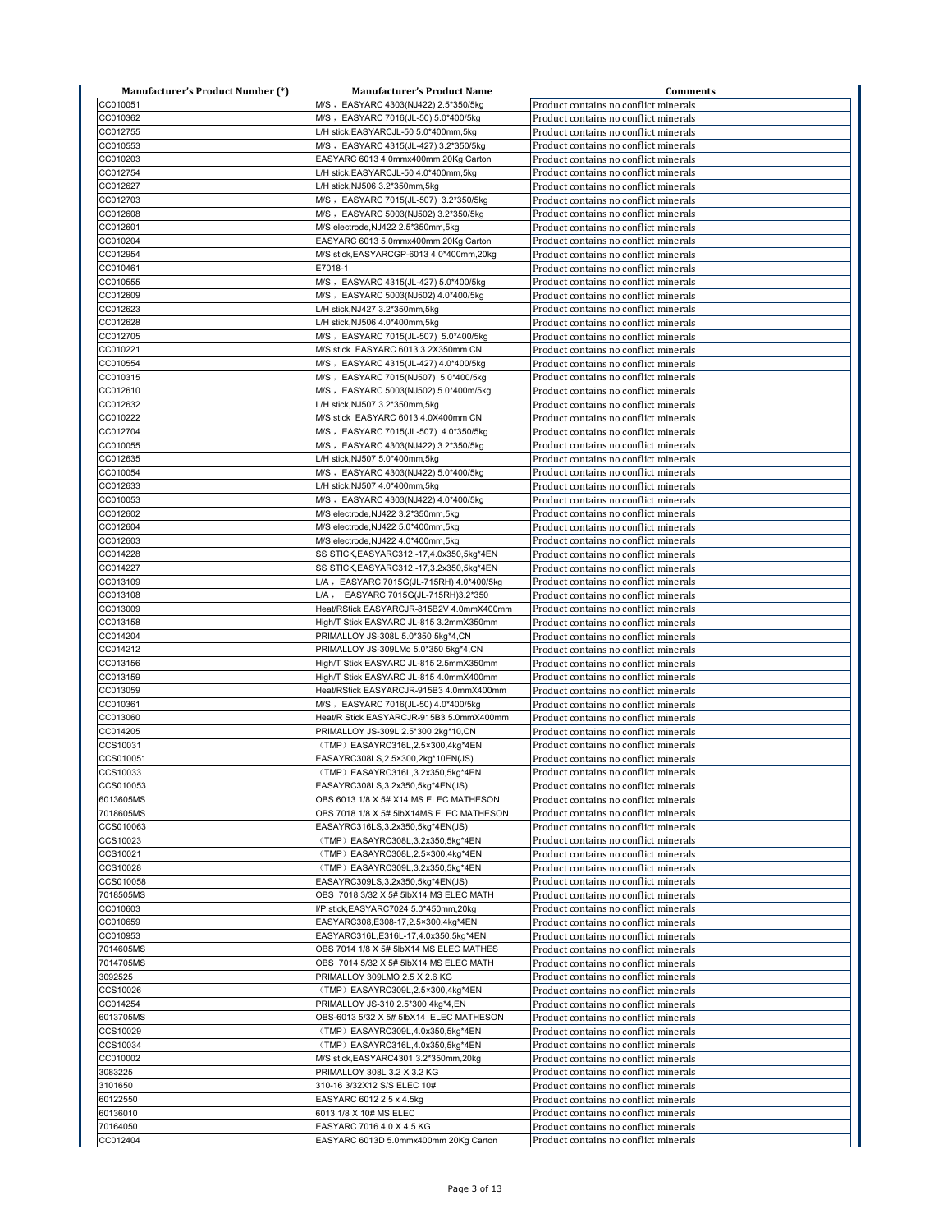| <b>Manufacturer's Product Number (*)</b> | <b>Manufacturer's Product Name</b>                                         | <b>Comments</b>                                                                |
|------------------------------------------|----------------------------------------------------------------------------|--------------------------------------------------------------------------------|
| CC010051                                 | M/S , EASYARC 4303(NJ422) 2.5*350/5kg                                      | Product contains no conflict minerals                                          |
| CC010362                                 | M/S , EASYARC 7016(JL-50) 5.0*400/5kg                                      | Product contains no conflict minerals                                          |
| CC012755                                 | L/H stick, EASYARCJL-50 5.0*400mm, 5kg                                     | Product contains no conflict minerals                                          |
| CC010553                                 | M/S , EASYARC 4315(JL-427) 3.2*350/5kg                                     | Product contains no conflict minerals                                          |
| CC010203                                 | EASYARC 6013 4.0mmx400mm 20Kg Carton                                       | Product contains no conflict minerals                                          |
| CC012754                                 | L/H stick, EASYARCJL-50 4.0*400mm, 5kg                                     | Product contains no conflict minerals                                          |
| CC012627                                 | L/H stick, NJ506 3.2*350mm, 5kg                                            | Product contains no conflict minerals                                          |
| CC012703                                 | M/S , EASYARC 7015(JL-507) 3.2*350/5kg                                     | Product contains no conflict minerals                                          |
| CC012608                                 | M/S , EASYARC 5003(NJ502) 3.2*350/5kg                                      | Product contains no conflict minerals                                          |
| CC012601                                 | M/S electrode, NJ422 2.5*350mm, 5kg                                        | Product contains no conflict minerals                                          |
| CC010204                                 | EASYARC 6013 5.0mmx400mm 20Kg Carton                                       | Product contains no conflict minerals                                          |
| CC012954                                 |                                                                            |                                                                                |
| CC010461                                 | M/S stick, EASYARCGP-6013 4.0*400mm, 20kg                                  | Product contains no conflict minerals                                          |
|                                          | E7018-1                                                                    | Product contains no conflict minerals                                          |
| CC010555                                 | M/S , EASYARC 4315(JL-427) 5.0*400/5kg                                     | Product contains no conflict minerals                                          |
| CC012609                                 | M/S , EASYARC 5003(NJ502) 4.0*400/5kg                                      | Product contains no conflict minerals                                          |
| CC012623                                 | L/H stick, NJ427 3.2*350mm, 5kg                                            | Product contains no conflict minerals                                          |
| CC012628                                 | L/H stick, NJ506 4.0*400mm, 5kg                                            | Product contains no conflict minerals                                          |
| CC012705                                 | M/S , EASYARC 7015(JL-507) 5.0*400/5kg                                     | Product contains no conflict minerals                                          |
| CC010221                                 | M/S stick EASYARC 6013 3.2X350mm CN                                        | Product contains no conflict minerals                                          |
| CC010554                                 | M/S , EASYARC 4315(JL-427) 4.0*400/5kg                                     | Product contains no conflict minerals                                          |
| CC010315                                 | M/S , EASYARC 7015(NJ507) 5.0*400/5kg                                      | Product contains no conflict minerals                                          |
| CC012610                                 | M/S , EASYARC 5003(NJ502) 5.0*400m/5kg                                     | Product contains no conflict minerals                                          |
| CC012632                                 | L/H stick, NJ507 3.2*350mm, 5kg                                            | Product contains no conflict minerals                                          |
| CC010222                                 | M/S stick EASYARC 6013 4.0X400mm CN                                        | Product contains no conflict minerals                                          |
| CC012704                                 | M/S , EASYARC 7015(JL-507) 4.0*350/5kg                                     | Product contains no conflict minerals                                          |
| CC010055                                 | M/S , EASYARC 4303(NJ422) 3.2*350/5kg                                      | Product contains no conflict minerals                                          |
| CC012635                                 | L/H stick, NJ507 5.0*400mm, 5kg                                            | Product contains no conflict minerals                                          |
| CC010054                                 | M/S , EASYARC 4303(NJ422) 5.0*400/5kg                                      | Product contains no conflict minerals                                          |
| CC012633                                 | L/H stick, NJ507 4.0*400mm, 5kg                                            | Product contains no conflict minerals                                          |
| CC010053                                 | M/S, EASYARC 4303(NJ422) 4.0*400/5kg                                       | Product contains no conflict minerals                                          |
| CC012602                                 | M/S electrode, NJ422 3.2*350mm, 5kg                                        |                                                                                |
|                                          |                                                                            | Product contains no conflict minerals                                          |
| CC012604                                 | M/S electrode, NJ422 5.0*400mm, 5kg                                        | Product contains no conflict minerals                                          |
| CC012603                                 | M/S electrode, NJ422 4.0*400mm, 5kg                                        | Product contains no conflict minerals                                          |
| CC014228                                 | SS STICK, EASYARC312, -17, 4.0x350, 5kg*4EN                                | Product contains no conflict minerals                                          |
| CC014227                                 | SS STICK, EASYARC312, -17, 3.2x350, 5kg*4EN                                | Product contains no conflict minerals                                          |
| CC013109                                 | L/A, EASYARC 7015G(JL-715RH) 4.0*400/5kg                                   | Product contains no conflict minerals                                          |
| CC013108                                 | L/A, EASYARC 7015G(JL-715RH)3.2*350                                        | Product contains no conflict minerals                                          |
| CC013009                                 | Heat/RStick EASYARCJR-815B2V 4.0mmX400mm                                   | Product contains no conflict minerals                                          |
| CC013158                                 | High/T Stick EASYARC JL-815 3.2mmX350mm                                    | Product contains no conflict minerals                                          |
| CC014204                                 | PRIMALLOY JS-308L 5.0*350 5kg*4,CN                                         | Product contains no conflict minerals                                          |
| CC014212                                 | PRIMALLOY JS-309LMo 5.0*350 5kg*4,CN                                       | Product contains no conflict minerals                                          |
| CC013156                                 | High/T Stick EASYARC JL-815 2.5mmX350mm                                    | Product contains no conflict minerals                                          |
| CC013159                                 | High/T Stick EASYARC JL-815 4.0mmX400mm                                    | Product contains no conflict minerals                                          |
| CC013059                                 | Heat/RStick EASYARCJR-915B3 4.0mmX400mm                                    | Product contains no conflict minerals                                          |
| CC010361                                 | M/S , EASYARC 7016(JL-50) 4.0*400/5kg                                      | Product contains no conflict minerals                                          |
| CC013060                                 | Heat/R Stick EASYARCJR-915B3 5.0mmX400mm                                   | Product contains no conflict minerals                                          |
| CC014205                                 | PRIMALLOY JS-309L 2.5*300 2kg*10,CN                                        | Product contains no conflict minerals                                          |
| CCS10031                                 | (TMP) EASAYRC316L,2.5×300,4kg*4EN                                          | Product contains no conflict minerals                                          |
| CCS010051                                | EASAYRC308LS,2.5×300,2kg*10EN(JS)                                          | Product contains no conflict minerals                                          |
| CCS10033                                 | (TMP) EASAYRC316L,3.2x350,5kg*4EN                                          | Product contains no conflict minerals                                          |
|                                          |                                                                            |                                                                                |
| CCS010053<br>6013605MS                   | EASAYRC308LS,3.2x350,5kg*4EN(JS)<br>OBS 6013 1/8 X 5# X14 MS ELEC MATHESON | Product contains no conflict minerals<br>Product contains no conflict minerals |
|                                          |                                                                            |                                                                                |
| 7018605MS                                | OBS 7018 1/8 X 5# 5lbX14MS ELEC MATHESON                                   | Product contains no conflict minerals                                          |
| CCS010063                                | EASAYRC316LS, 3.2x350, 5kg*4EN(JS)                                         | Product contains no conflict minerals                                          |
| CCS10023                                 | (TMP) EASAYRC308L,3.2x350,5kg*4EN                                          | Product contains no conflict minerals                                          |
| CCS10021                                 | (TMP) EASAYRC308L,2.5×300,4kg*4EN                                          | Product contains no conflict minerals                                          |
| CCS10028                                 | (TMP) EASAYRC309L,3.2x350,5kg*4EN                                          | Product contains no conflict minerals                                          |
| CCS010058                                | EASAYRC309LS, 3.2x350, 5kg*4EN(JS)                                         | Product contains no conflict minerals                                          |
| 7018505MS                                | OBS 7018 3/32 X 5# 5lbX14 MS ELEC MATH                                     | Product contains no conflict minerals                                          |
| CC010603                                 | I/P stick, EASYARC7024 5.0*450mm, 20kg                                     | Product contains no conflict minerals                                          |
| CC010659                                 | EASYARC308,E308-17,2.5×300,4kg*4EN                                         | Product contains no conflict minerals                                          |
| CC010953                                 | EASYARC316L,E316L-17,4.0x350,5kg*4EN                                       | Product contains no conflict minerals                                          |
| 7014605MS                                | OBS 7014 1/8 X 5# 5lbX14 MS ELEC MATHES                                    | Product contains no conflict minerals                                          |
| 7014705MS                                | OBS 7014 5/32 X 5# 5lbX14 MS ELEC MATH                                     | Product contains no conflict minerals                                          |
| 3092525                                  | PRIMALLOY 309LMO 2.5 X 2.6 KG                                              | Product contains no conflict minerals                                          |
| CCS10026                                 | (TMP) EASAYRC309L,2.5×300,4kg*4EN                                          | Product contains no conflict minerals                                          |
| CC014254                                 | PRIMALLOY JS-310 2.5*300 4kg*4,EN                                          | Product contains no conflict minerals                                          |
| 6013705MS                                | OBS-6013 5/32 X 5# 5lbX14 ELEC MATHESON                                    | Product contains no conflict minerals                                          |
| CCS10029                                 | (TMP) EASAYRC309L,4.0x350,5kg*4EN                                          | Product contains no conflict minerals                                          |
| CCS10034                                 | (TMP) EASAYRC316L,4.0x350,5kg*4EN                                          | Product contains no conflict minerals                                          |
| CC010002                                 | M/S stick, EASYARC4301 3.2*350mm, 20kg                                     | Product contains no conflict minerals                                          |
| 3083225                                  | PRIMALLOY 308L 3.2 X 3.2 KG                                                | Product contains no conflict minerals                                          |
|                                          |                                                                            |                                                                                |
| 3101650                                  | 310-16 3/32X12 S/S ELEC 10#                                                | Product contains no conflict minerals                                          |
| 60122550                                 | EASYARC 6012 2.5 x 4.5kg                                                   | Product contains no conflict minerals                                          |
| 60136010                                 | 6013 1/8 X 10# MS ELEC                                                     | Product contains no conflict minerals                                          |
| 70164050                                 | EASYARC 7016 4.0 X 4.5 KG                                                  | Product contains no conflict minerals                                          |
| CC012404                                 | EASYARC 6013D 5.0mmx400mm 20Kg Carton                                      | Product contains no conflict minerals                                          |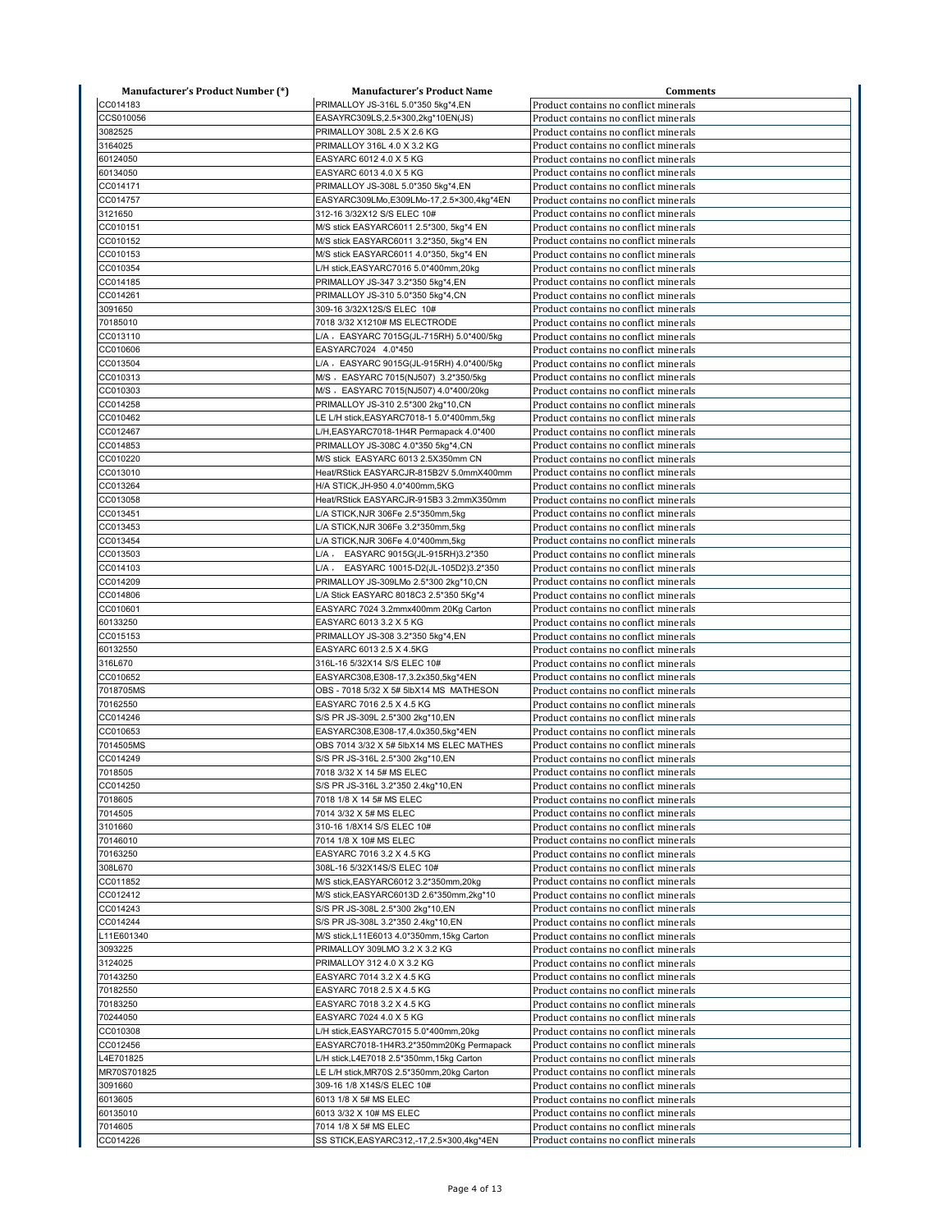| <b>Manufacturer's Product Number (*)</b> | <b>Manufacturer's Product Name</b>                                              | <b>Comments</b>                                                                |
|------------------------------------------|---------------------------------------------------------------------------------|--------------------------------------------------------------------------------|
| CC014183                                 | PRIMALLOY JS-316L 5.0*350 5kg*4,EN                                              | Product contains no conflict minerals                                          |
| CCS010056                                | EASAYRC309LS,2.5×300,2kg*10EN(JS)                                               | Product contains no conflict minerals                                          |
| 3082525                                  | PRIMALLOY 308L 2.5 X 2.6 KG                                                     | Product contains no conflict minerals                                          |
| 3164025                                  | PRIMALLOY 316L 4.0 X 3.2 KG                                                     | Product contains no conflict minerals                                          |
| 60124050                                 | EASYARC 6012 4.0 X 5 KG                                                         | Product contains no conflict minerals                                          |
| 60134050                                 | EASYARC 6013 4.0 X 5 KG                                                         | Product contains no conflict minerals                                          |
| CC014171                                 | PRIMALLOY JS-308L 5.0*350 5kg*4,EN                                              | Product contains no conflict minerals                                          |
| CC014757                                 | EASYARC309LMo,E309LMo-17,2.5×300,4kg*4EN                                        | Product contains no conflict minerals                                          |
| 3121650                                  | 312-16 3/32X12 S/S ELEC 10#                                                     | Product contains no conflict minerals                                          |
| CC010151                                 | M/S stick EASYARC6011 2.5*300, 5kg*4 EN                                         | Product contains no conflict minerals                                          |
| CC010152                                 | M/S stick EASYARC6011 3.2*350, 5kg*4 EN                                         | Product contains no conflict minerals                                          |
| CC010153                                 | M/S stick EASYARC6011 4.0*350, 5kg*4 EN                                         | Product contains no conflict minerals                                          |
| CC010354                                 | L/H stick, EASYARC7016 5.0*400mm, 20kg                                          | Product contains no conflict minerals                                          |
| CC014185                                 | PRIMALLOY JS-347 3.2*350 5kg*4,EN                                               | Product contains no conflict minerals                                          |
| CC014261                                 | PRIMALLOY JS-310 5.0*350 5kg*4,CN                                               | Product contains no conflict minerals                                          |
| 3091650                                  | 309-16 3/32X12S/S ELEC 10#                                                      | Product contains no conflict minerals                                          |
| 70185010                                 | 7018 3/32 X1210# MS ELECTRODE                                                   | Product contains no conflict minerals                                          |
| CC013110                                 | L/A, EASYARC 7015G(JL-715RH) 5.0*400/5kg                                        | Product contains no conflict minerals                                          |
| CC010606                                 | EASYARC7024 4.0*450                                                             | Product contains no conflict minerals                                          |
| CC013504                                 | L/A , EASYARC 9015G(JL-915RH) 4.0*400/5kg                                       | Product contains no conflict minerals                                          |
| CC010313                                 | M/S , EASYARC 7015(NJ507) 3.2*350/5kg                                           | Product contains no conflict minerals                                          |
| CC010303                                 | M/S , EASYARC 7015(NJ507) 4.0*400/20kg                                          | Product contains no conflict minerals                                          |
| CC014258                                 | PRIMALLOY JS-310 2.5*300 2kg*10,CN                                              | Product contains no conflict minerals                                          |
| CC010462                                 | LE L/H stick, EASYARC7018-1 5.0*400mm, 5kg                                      | Product contains no conflict minerals                                          |
| CC012467                                 | L/H,EASYARC7018-1H4R Permapack 4.0*400                                          | Product contains no conflict minerals                                          |
| CC014853                                 | PRIMALLOY JS-308C 4.0*350 5kg*4,CN                                              | Product contains no conflict minerals                                          |
| CC010220                                 |                                                                                 |                                                                                |
| CC013010                                 | M/S stick EASYARC 6013 2.5X350mm CN<br>Heat/RStick EASYARCJR-815B2V 5.0mmX400mm | Product contains no conflict minerals<br>Product contains no conflict minerals |
| CC013264                                 | H/A STICK, JH-950 4.0*400mm, 5KG                                                | Product contains no conflict minerals                                          |
| CC013058                                 | Heat/RStick EASYARCJR-915B3 3.2mmX350mm                                         | Product contains no conflict minerals                                          |
| CC013451                                 | L/A STICK, NJR 306Fe 2.5*350mm, 5kg                                             | Product contains no conflict minerals                                          |
| CC013453                                 | L/A STICK, NJR 306Fe 3.2*350mm, 5kg                                             | Product contains no conflict minerals                                          |
| CC013454                                 | L/A STICK, NJR 306Fe 4.0*400mm, 5kg                                             | Product contains no conflict minerals                                          |
| CC013503                                 | EASYARC 9015G(JL-915RH)3.2*350<br>$L/A$ ,                                       | Product contains no conflict minerals                                          |
| CC014103                                 | L/A,<br>EASYARC 10015-D2(JL-105D2)3.2*350                                       | Product contains no conflict minerals                                          |
| CC014209                                 |                                                                                 |                                                                                |
| CC014806                                 | PRIMALLOY JS-309LMo 2.5*300 2kg*10,CN<br>L/A Stick EASYARC 8018C3 2.5*350 5Kg*4 | Product contains no conflict minerals<br>Product contains no conflict minerals |
| CC010601                                 | EASYARC 7024 3.2mmx400mm 20Kg Carton                                            |                                                                                |
| 60133250                                 | EASYARC 6013 3.2 X 5 KG                                                         | Product contains no conflict minerals                                          |
| CC015153                                 | PRIMALLOY JS-308 3.2*350 5kg*4,EN                                               | Product contains no conflict minerals<br>Product contains no conflict minerals |
| 60132550                                 | EASYARC 6013 2.5 X 4.5KG                                                        | Product contains no conflict minerals                                          |
| 316L670                                  | 316L-16 5/32X14 S/S ELEC 10#                                                    | Product contains no conflict minerals                                          |
| CC010652                                 | EASYARC308,E308-17,3.2x350,5kg*4EN                                              | Product contains no conflict minerals                                          |
| 7018705MS                                | OBS - 7018 5/32 X 5# 5lbX14 MS MATHESON                                         | Product contains no conflict minerals                                          |
| 70162550                                 | EASYARC 7016 2.5 X 4.5 KG                                                       | Product contains no conflict minerals                                          |
| CC014246                                 | S/S PR JS-309L 2.5*300 2kg*10,EN                                                | Product contains no conflict minerals                                          |
| CC010653                                 | EASYARC308,E308-17,4.0x350,5kg*4EN                                              | Product contains no conflict minerals                                          |
| 7014505MS                                | OBS 7014 3/32 X 5# 5lbX14 MS ELEC MATHES                                        | Product contains no conflict minerals                                          |
| CC014249                                 | S/S PR JS-316L 2.5*300 2kg*10,EN                                                | Product contains no conflict minerals                                          |
| 7018505                                  | 7018 3/32 X 14 5# MS ELEC                                                       | Product contains no conflict minerals                                          |
| CC014250                                 |                                                                                 |                                                                                |
| 7018605                                  | S/S PR JS-316L 3.2*350 2.4kg*10,EN<br>7018 1/8 X 14 5# MS ELEC                  | Product contains no conflict minerals<br>Product contains no conflict minerals |
| 7014505                                  | 7014 3/32 X 5# MS ELEC                                                          | Product contains no conflict minerals                                          |
| 3101660                                  | 310-16 1/8X14 S/S ELEC 10#                                                      | Product contains no conflict minerals                                          |
| 70146010                                 | 7014 1/8 X 10# MS ELEC                                                          | Product contains no conflict minerals                                          |
| 70163250                                 | EASYARC 7016 3.2 X 4.5 KG                                                       | Product contains no conflict minerals                                          |
| 308L670                                  | 308L-16 5/32X14S/S ELEC 10#                                                     | Product contains no conflict minerals                                          |
| CC011852                                 | M/S stick, EASYARC6012 3.2*350mm, 20kg                                          | Product contains no conflict minerals                                          |
| CC012412                                 | M/S stick, EASYARC6013D 2.6*350mm, 2kg*10                                       | Product contains no conflict minerals                                          |
| CC014243                                 | S/S PR JS-308L 2.5*300 2kg*10,EN                                                | Product contains no conflict minerals                                          |
| CC014244                                 | S/S PR JS-308L 3.2*350 2.4kg*10,EN                                              | Product contains no conflict minerals                                          |
| L11E601340                               | M/S stick, L11E6013 4.0*350mm, 15kg Carton                                      | Product contains no conflict minerals                                          |
| 3093225                                  | PRIMALLOY 309LMO 3.2 X 3.2 KG                                                   | Product contains no conflict minerals                                          |
| 3124025                                  | PRIMALLOY 312 4.0 X 3.2 KG                                                      | Product contains no conflict minerals                                          |
| 70143250                                 | EASYARC 7014 3.2 X 4.5 KG                                                       | Product contains no conflict minerals                                          |
| 70182550                                 | EASYARC 7018 2.5 X 4.5 KG                                                       | Product contains no conflict minerals                                          |
| 70183250                                 | EASYARC 7018 3.2 X 4.5 KG                                                       | Product contains no conflict minerals                                          |
| 70244050                                 | EASYARC 7024 4.0 X 5 KG                                                         | Product contains no conflict minerals                                          |
| CC010308                                 | L/H stick, EASYARC7015 5.0*400mm, 20kg                                          | Product contains no conflict minerals                                          |
| CC012456                                 | EASYARC7018-1H4R3.2*350mm20Kg Permapack                                         | Product contains no conflict minerals                                          |
| L4E701825                                | L/H stick, L4E7018 2.5*350mm, 15kg Carton                                       | Product contains no conflict minerals                                          |
| MR70S701825                              | LE L/H stick, MR70S 2.5*350mm, 20kg Carton                                      | Product contains no conflict minerals                                          |
| 3091660                                  | 309-16 1/8 X14S/S ELEC 10#                                                      | Product contains no conflict minerals                                          |
| 6013605                                  | 6013 1/8 X 5# MS ELEC                                                           | Product contains no conflict minerals                                          |
| 60135010                                 | 6013 3/32 X 10# MS ELEC                                                         | Product contains no conflict minerals                                          |
| 7014605                                  | 7014 1/8 X 5# MS ELEC                                                           | Product contains no conflict minerals                                          |
| CC014226                                 | SS STICK, EASYARC312,-17, 2.5×300, 4kg*4EN                                      | Product contains no conflict minerals                                          |